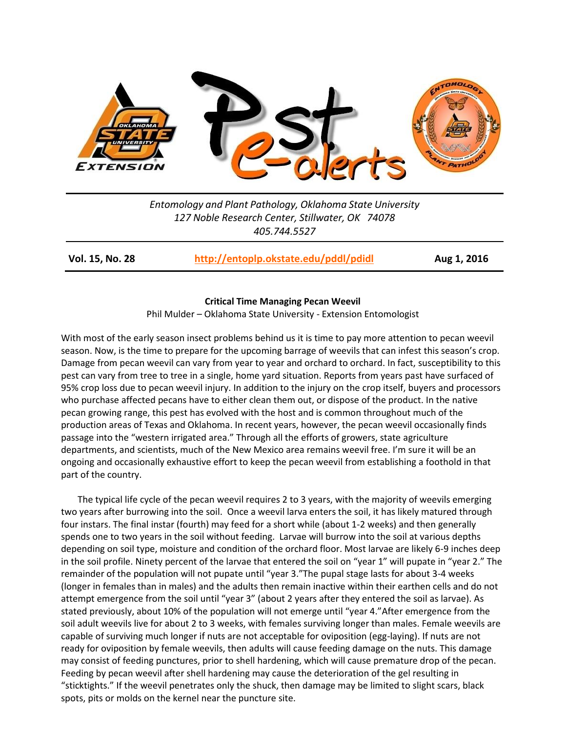

*Entomology and Plant Pathology, Oklahoma State University 127 Noble Research Center, Stillwater, OK 74078 405.744.5527*

**Vol. 15, No. 28 <http://entoplp.okstate.edu/pddl/pdidl> Aug 1, 2016**

## **Critical Time Managing Pecan Weevil**

Phil Mulder – Oklahoma State University - Extension Entomologist

With most of the early season insect problems behind us it is time to pay more attention to pecan weevil season. Now, is the time to prepare for the upcoming barrage of weevils that can infest this season's crop. Damage from pecan weevil can vary from year to year and orchard to orchard. In fact, susceptibility to this pest can vary from tree to tree in a single, home yard situation. Reports from years past have surfaced of 95% crop loss due to pecan weevil injury. In addition to the injury on the crop itself, buyers and processors who purchase affected pecans have to either clean them out, or dispose of the product. In the native pecan growing range, this pest has evolved with the host and is common throughout much of the production areas of Texas and Oklahoma. In recent years, however, the pecan weevil occasionally finds passage into the "western irrigated area." Through all the efforts of growers, state agriculture departments, and scientists, much of the New Mexico area remains weevil free. I'm sure it will be an ongoing and occasionally exhaustive effort to keep the pecan weevil from establishing a foothold in that part of the country.

The typical life cycle of the pecan weevil requires 2 to 3 years, with the majority of weevils emerging two years after burrowing into the soil. Once a weevil larva enters the soil, it has likely matured through four instars. The final instar (fourth) may feed for a short while (about 1-2 weeks) and then generally spends one to two years in the soil without feeding. Larvae will burrow into the soil at various depths depending on soil type, moisture and condition of the orchard floor. Most larvae are likely 6-9 inches deep in the soil profile. Ninety percent of the larvae that entered the soil on "year 1" will pupate in "year 2." The remainder of the population will not pupate until "year 3."The pupal stage lasts for about 3-4 weeks (longer in females than in males) and the adults then remain inactive within their earthen cells and do not attempt emergence from the soil until "year 3" (about 2 years after they entered the soil as larvae). As stated previously, about 10% of the population will not emerge until "year 4."After emergence from the soil adult weevils live for about 2 to 3 weeks, with females surviving longer than males. Female weevils are capable of surviving much longer if nuts are not acceptable for oviposition (egg-laying). If nuts are not ready for oviposition by female weevils, then adults will cause feeding damage on the nuts. This damage may consist of feeding punctures, prior to shell hardening, which will cause premature drop of the pecan. Feeding by pecan weevil after shell hardening may cause the deterioration of the gel resulting in "sticktights." If the weevil penetrates only the shuck, then damage may be limited to slight scars, black spots, pits or molds on the kernel near the puncture site.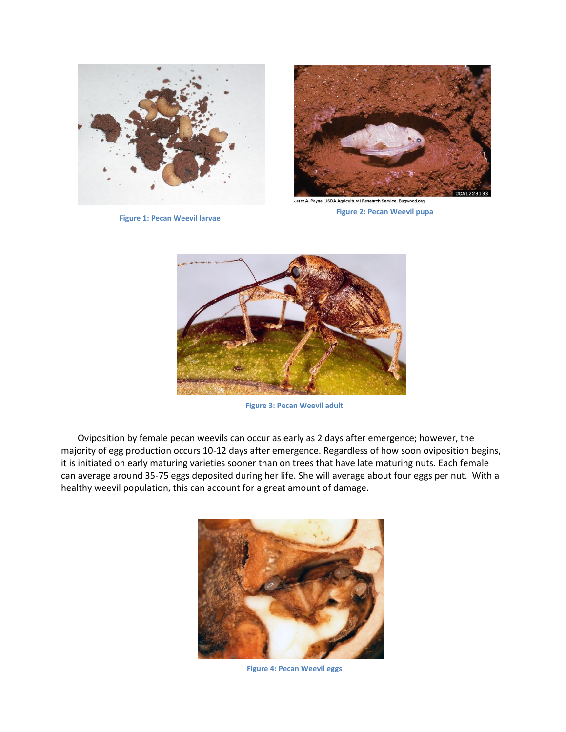

 **Figure 1: Pecan Weevil larvae**



Jerry A. Payne, USDA Agricultural Research Service, Bugwood.org  **Figure 2: Pecan Weevil pupa**



 **Figure 3: Pecan Weevil adult**

Oviposition by female pecan weevils can occur as early as 2 days after emergence; however, the majority of egg production occurs 10-12 days after emergence. Regardless of how soon oviposition begins, it is initiated on early maturing varieties sooner than on trees that have late maturing nuts. Each female can average around 35-75 eggs deposited during her life. She will average about four eggs per nut. With a healthy weevil population, this can account for a great amount of damage.



 **Figure 4: Pecan Weevil eggs**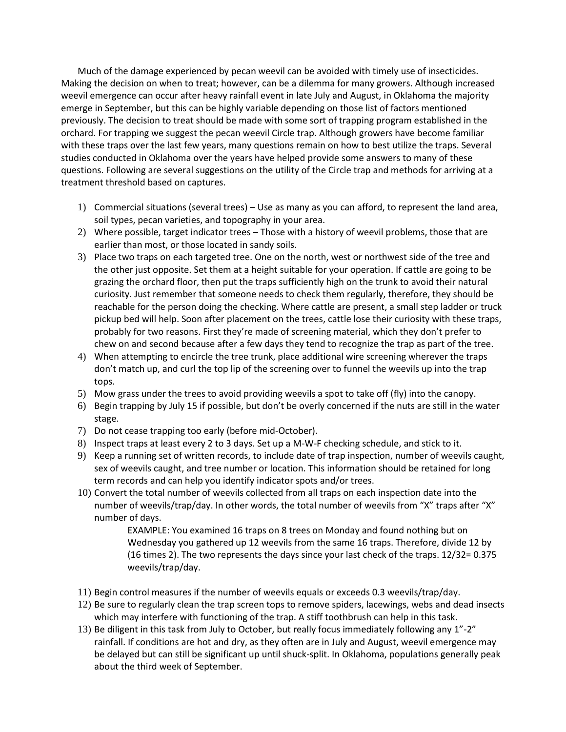Much of the damage experienced by pecan weevil can be avoided with timely use of insecticides. Making the decision on when to treat; however, can be a dilemma for many growers. Although increased weevil emergence can occur after heavy rainfall event in late July and August, in Oklahoma the majority emerge in September, but this can be highly variable depending on those list of factors mentioned previously. The decision to treat should be made with some sort of trapping program established in the orchard. For trapping we suggest the pecan weevil Circle trap. Although growers have become familiar with these traps over the last few years, many questions remain on how to best utilize the traps. Several studies conducted in Oklahoma over the years have helped provide some answers to many of these questions. Following are several suggestions on the utility of the Circle trap and methods for arriving at a treatment threshold based on captures.

- 1) Commercial situations (several trees) Use as many as you can afford, to represent the land area, soil types, pecan varieties, and topography in your area.
- 2) Where possible, target indicator trees Those with a history of weevil problems, those that are earlier than most, or those located in sandy soils.
- 3) Place two traps on each targeted tree. One on the north, west or northwest side of the tree and the other just opposite. Set them at a height suitable for your operation. If cattle are going to be grazing the orchard floor, then put the traps sufficiently high on the trunk to avoid their natural curiosity. Just remember that someone needs to check them regularly, therefore, they should be reachable for the person doing the checking. Where cattle are present, a small step ladder or truck pickup bed will help. Soon after placement on the trees, cattle lose their curiosity with these traps, probably for two reasons. First they're made of screening material, which they don't prefer to chew on and second because after a few days they tend to recognize the trap as part of the tree.
- 4) When attempting to encircle the tree trunk, place additional wire screening wherever the traps don't match up, and curl the top lip of the screening over to funnel the weevils up into the trap tops.
- 5) Mow grass under the trees to avoid providing weevils a spot to take off (fly) into the canopy.
- 6) Begin trapping by July 15 if possible, but don't be overly concerned if the nuts are still in the water stage.
- 7) Do not cease trapping too early (before mid-October).
- 8) Inspect traps at least every 2 to 3 days. Set up a M-W-F checking schedule, and stick to it.
- 9) Keep a running set of written records, to include date of trap inspection, number of weevils caught, sex of weevils caught, and tree number or location. This information should be retained for long term records and can help you identify indicator spots and/or trees.
- 10) Convert the total number of weevils collected from all traps on each inspection date into the number of weevils/trap/day. In other words, the total number of weevils from "X" traps after "X" number of days.

EXAMPLE: You examined 16 traps on 8 trees on Monday and found nothing but on Wednesday you gathered up 12 weevils from the same 16 traps. Therefore, divide 12 by (16 times 2). The two represents the days since your last check of the traps. 12/32= 0.375 weevils/trap/day.

- 11) Begin control measures if the number of weevils equals or exceeds 0.3 weevils/trap/day.
- 12) Be sure to regularly clean the trap screen tops to remove spiders, lacewings, webs and dead insects which may interfere with functioning of the trap. A stiff toothbrush can help in this task.
- 13) Be diligent in this task from July to October, but really focus immediately following any 1"-2" rainfall. If conditions are hot and dry, as they often are in July and August, weevil emergence may be delayed but can still be significant up until shuck-split. In Oklahoma, populations generally peak about the third week of September.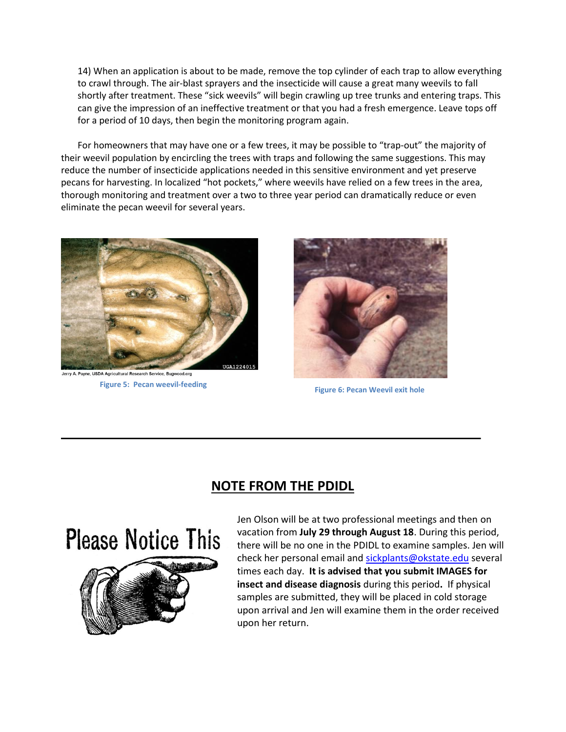14) When an application is about to be made, remove the top cylinder of each trap to allow everything to crawl through. The air-blast sprayers and the insecticide will cause a great many weevils to fall shortly after treatment. These "sick weevils" will begin crawling up tree trunks and entering traps. This can give the impression of an ineffective treatment or that you had a fresh emergence. Leave tops off for a period of 10 days, then begin the monitoring program again.

For homeowners that may have one or a few trees, it may be possible to "trap-out" the majority of their weevil population by encircling the trees with traps and following the same suggestions. This may reduce the number of insecticide applications needed in this sensitive environment and yet preserve pecans for harvesting. In localized "hot pockets," where weevils have relied on a few trees in the area, thorough monitoring and treatment over a two to three year period can dramatically reduce or even eliminate the pecan weevil for several years.



 **Figure 5: Pecan weevil-feeding**



 **Figure 6: Pecan Weevil exit hole**

## **NOTE FROM THE PDIDL**

**Please Notice This** 



Jen Olson will be at two professional meetings and then on vacation from **July 29 through August 18**. During this period, there will be no one in the PDIDL to examine samples. Jen will check her personal email and [sickplants@okstate.edu](mailto:sickplants@okstate.edu) several times each day. **It is advised that you submit IMAGES for insect and disease diagnosis** during this period**.** If physical samples are submitted, they will be placed in cold storage upon arrival and Jen will examine them in the order received upon her return.